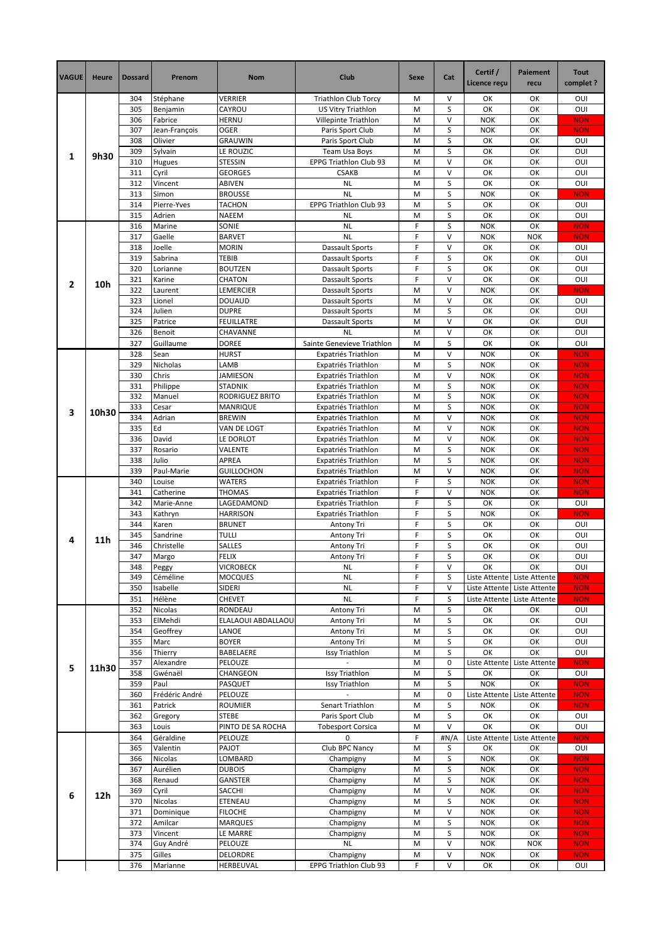| <b>VAGUE</b> | <b>Heure</b> | <b>Dossard</b> | Prenom                   | Nom                              | <b>Club</b>                                | Sexe   | Cat         | Certif /<br>Licence reçu | Paiement<br>recu            | <b>Tout</b><br>complet ? |
|--------------|--------------|----------------|--------------------------|----------------------------------|--------------------------------------------|--------|-------------|--------------------------|-----------------------------|--------------------------|
| 1            |              | 304            | Stéphane                 | <b>VERRIER</b>                   | <b>Triathlon Club Torcy</b>                | M      | $\vee$      | OK                       | ОК                          | OUI                      |
|              | 9h30         | 305<br>306     | Benjamin                 | CAYROU<br><b>HERNU</b>           | US Vitry Triathlon                         | M<br>M | S<br>$\vee$ | OK<br><b>NOK</b>         | OK<br>OK                    | OUI<br><b>NON</b>        |
|              |              | 307            | Fabrice<br>Jean-François | OGER                             | Villepinte Triathlon<br>Paris Sport Club   | M      | S           | <b>NOK</b>               | OK                          | <b>NON</b>               |
|              |              | 308            | Olivier                  | <b>GRAUWIN</b>                   | Paris Sport Club                           | M      | S           | OK                       | OK                          | OUI                      |
|              |              | 309            | Sylvain                  | LE ROUZIC                        | <b>Team Usa Boys</b>                       | M      | S           | OK                       | ОΚ                          | OUI                      |
|              |              | 310            | Hugues                   | STESSIN                          | EPPG Triathlon Club 93                     | M      | V           | OK                       | OK                          | OUI                      |
|              |              | 311            | Cyril<br>Vincent         | <b>GEORGES</b>                   | <b>CSAKB</b>                               | M      | $\vee$<br>S | OK                       | OK                          | OUI                      |
|              |              | 312<br>313     | Simon                    | ABIVEN<br><b>BROUSSE</b>         | <b>NL</b><br><b>NL</b>                     | M<br>M | S           | OK<br><b>NOK</b>         | OK<br>OK                    | OUI<br><b>NON</b>        |
|              |              | 314            | Pierre-Yves              | <b>TACHON</b>                    | EPPG Triathlon Club 93                     | M      | S           | OK                       | OK                          | OUI                      |
|              |              | 315            | Adrien                   | NAEEM                            | <b>NL</b>                                  | M      | S           | OK                       | ОК                          | OUI                      |
| 2            |              | 316            | Marine                   | SONIE                            | <b>NL</b>                                  | F      | S           | <b>NOK</b>               | OK                          | <b>NON</b>               |
|              |              | 317            | Gaelle                   | <b>BARVET</b>                    | <b>NL</b>                                  | F      | $\vee$      | <b>NOK</b>               | <b>NOK</b>                  | <b>NON</b>               |
|              |              | 318            | Joelle                   | MORIN                            | Dassault Sports                            | F<br>F | V<br>S      | OK                       | OK                          | OUI                      |
|              |              | 319<br>320     | Sabrina<br>Lorianne      | TEBIB<br><b>BOUTZEN</b>          | Dassault Sports<br>Dassault Sports         | F      | S           | OK<br>OK                 | OK<br>OK                    | OUI<br>OUI               |
|              |              | 321            | Karine                   | <b>CHATON</b>                    | <b>Dassault Sports</b>                     | F      | $\vee$      | OK                       | OK                          | OUI                      |
|              | 10h          | 322            | Laurent                  | LEMERCIER                        | <b>Dassault Sports</b>                     | M      | $\vee$      | <b>NOK</b>               | OK                          | <b>NON</b>               |
|              |              | 323            | Lionel                   | <b>DOUAUD</b>                    | Dassault Sports                            | M      | $\vee$      | OK                       | OK                          | OUI                      |
|              |              | 324            | Julien                   | <b>DUPRE</b>                     | Dassault Sports                            | M      | S           | OK                       | OK                          | OUI                      |
|              |              | 325            | Patrice                  | <b>FEUILLATRE</b>                | <b>Dassault Sports</b>                     | M      | V           | OK                       | OK                          | OUI                      |
|              |              | 326<br>327     | Benoit<br>Guillaume      | CHAVANNE<br><b>DOREE</b>         | <b>NL</b><br>Sainte Genevieve Triathlon    | M<br>M | $\vee$<br>S | OK<br>OK                 | OK<br>ОК                    | OUI<br>OUI               |
|              |              | 328            | Sean                     | <b>HURST</b>                     | Expatriés Triathlon                        | M      | V           | <b>NOK</b>               | OK                          | <b>NON</b>               |
|              |              | 329            | Nicholas                 | LAMB                             | Expatriés Triathlon                        | M      | S           | <b>NOK</b>               | OK                          | <b>NON</b>               |
|              |              | 330            | Chris                    | <b>JAMIESON</b>                  | Expatriés Triathlon                        | M      | $\vee$      | <b>NOK</b>               | OK                          | <b>NON</b>               |
|              |              | 331            | Philippe                 | <b>STADNIK</b>                   | Expatriés Triathlon                        | M      | S           | <b>NOK</b>               | OK                          | <b>NON</b>               |
|              |              | 332            | Manuel                   | RODRIGUEZ BRITO                  | Expatriés Triathlon                        | M      | S           | <b>NOK</b>               | ОК                          | <b>NON</b>               |
| 3            | 10h30        | 333            | Cesar                    | <b>MANRIQUE</b><br><b>BREWIN</b> | Expatriés Triathlon                        | M<br>M | S<br>$\vee$ | <b>NOK</b>               | OK<br>OK                    | <b>NON</b>               |
|              |              | 334<br>335     | Adrian<br>Ed             | VAN DE LOGT                      | Expatriés Triathlon<br>Expatriés Triathlon | M      | $\vee$      | <b>NOK</b><br><b>NOK</b> | OK                          | <b>NON</b><br><b>NON</b> |
|              |              | 336            | David                    | LE DORLOT                        | Expatriés Triathlon                        | M      | $\vee$      | <b>NOK</b>               | OK                          | <b>NON</b>               |
|              |              | 337            | Rosario                  | VALENTE                          | Expatriés Triathlon                        | M      | S           | <b>NOK</b>               | OK                          | <b>NON</b>               |
|              |              | 338            | Julio                    | APREA                            | Expatriés Triathlon                        | M      | S           | <b>NOK</b>               | ОΚ                          | <b>NON</b>               |
|              |              | 339            | Paul-Marie               | <b>GUILLOCHON</b>                | Expatriés Triathlon                        | M      | $\vee$      | <b>NOK</b>               | OK                          | <b>NON</b>               |
| 4            | 11h          | 340<br>341     | Louise                   | WATERS<br><b>THOMAS</b>          | Expatriés Triathlon                        | F<br>F | S<br>V      | <b>NOK</b><br><b>NOK</b> | OK<br>OK                    | <b>NON</b><br><b>NON</b> |
|              |              | 342            | Catherine<br>Marie-Anne  | LAGEDAMOND                       | Expatriés Triathlon<br>Expatriés Triathlon | F      | S           | ОК                       | OK                          | OUI                      |
|              |              | 343            | Kathryn                  | <b>HARRISON</b>                  | Expatriés Triathlon                        | F      | S           | <b>NOK</b>               | ОΚ                          | <b>NON</b>               |
|              |              | 344            | Karen                    | <b>BRUNET</b>                    | Antony Tri                                 | F      | S           | OK                       | OK                          | OUI                      |
|              |              | 345            | Sandrine                 | TULLI                            | Antony Tri                                 | F      | S           | OK                       | OK                          | OUI                      |
|              |              | 346            | Christelle               | <b>SALLES</b>                    | Antony Tri                                 | F      | S           | OK                       | OK                          | OUI                      |
|              |              | 347<br>348     | Margo<br>Peggy           | <b>FELIX</b><br><b>VICROBECK</b> | Antony Tri<br>NL                           | F<br>F | S<br>V      | OK<br>ОК                 | OK<br>OK                    | OUI<br>OUI               |
|              |              | 349            | Céméline                 | <b>MOCQUES</b>                   | <b>NL</b>                                  | F      | S           | Liste Attente            | Liste Attente               | <b>NON</b>               |
|              |              | 350            | Isabelle                 | SIDERI                           | <b>NL</b>                                  | F      | V           |                          | Liste Attente Liste Attente | <b>NON</b>               |
|              |              | 351            | Hélène                   | <b>CHEVET</b>                    | <b>NL</b>                                  | F      | S           | Liste Attente            | Liste Attente               | <b>NON</b>               |
| 5            | 11h30        | 352            | Nicolas                  | RONDEAU                          | Antony Tri                                 | M      | S           | OK                       | ОК                          | OUI                      |
|              |              | 353            | ElMehdi                  | ELALAOUI ABDALLAOU               | Antony Tri                                 | M      | S           | OK                       | OK                          | OUI                      |
|              |              | 354<br>355     | Geoffrey<br>Marc         | LANOE<br><b>BOYER</b>            | Antony Tri<br>Antony Tri                   | M<br>M | S<br>S      | OK<br>OK                 | OK<br>OK                    | OUI<br>OUI               |
|              |              | 356            | Thierry                  | BABELAERE                        | <b>Issy Triathlon</b>                      | M      | S           | OK                       | OK                          | OUI                      |
|              |              | 357            | Alexandre                | PELOUZE                          |                                            | M      | 0           |                          | Liste Attente Liste Attente | <b>NON</b>               |
|              |              | 358            | Gwénaël                  | CHANGEON                         | <b>Issy Triathlon</b>                      | M      | S           | OK                       | ОК                          | OUI                      |
|              |              | 359            | Paul                     | PASQUET                          | <b>Issy Triathlon</b>                      | M      | S           | <b>NOK</b>               | OK                          | <b>NON</b>               |
|              |              | 360            | Frédéric André           | PELOUZE                          |                                            | M      | 0           | Liste Attente            | Liste Attente               | <b>NON</b>               |
|              |              | 361<br>362     | Patrick<br>Gregory       | ROUMIER<br><b>STEBE</b>          | Senart Triathlon<br>Paris Sport Club       | M<br>M | S<br>S      | NOK<br>OK                | ОК<br>OK                    | <b>NON</b><br>OUI        |
|              |              | 363            | Louis                    | PINTO DE SA ROCHA                | <b>Tobesport Corsica</b>                   | M      | $\vee$      | OK                       | OK                          | OUI                      |
|              | 12h          | 364            | Géraldine                | PELOUZE                          | $\mathbf 0$                                | F      | #N/A        |                          | Liste Attente Liste Attente | <b>NON</b>               |
|              |              | 365            | Valentin                 | PAJOT                            | Club BPC Nancy                             | M      | S           | OK                       | OK                          | OUI                      |
| 6            |              | 366            | Nicolas                  | LOMBARD                          | Champigny                                  | M      | S           | <b>NOK</b>               | ОК                          | <b>NON</b>               |
|              |              | 367            | Aurélien                 | <b>DUBOIS</b>                    | Champigny                                  | M      | S           | <b>NOK</b>               | ОК                          | <b>NON</b>               |
|              |              | 368<br>369     | Renaud<br>Cyril          | GANSTER<br>SACCHI                | Champigny<br>Champigny                     | M<br>M | S<br>V      | <b>NOK</b><br><b>NOK</b> | OK<br>ОК                    | <b>NON</b><br><b>NON</b> |
|              |              | 370            | Nicolas                  | ETENEAU                          | Champigny                                  | M      | S           | <b>NOK</b>               | ОК                          | <b>NON</b>               |
|              |              | 371            | Dominique                | <b>FILOCHE</b>                   | Champigny                                  | M      | $\vee$      | <b>NOK</b>               | OK                          | <b>NON</b>               |
|              |              | 372            | Amilcar                  | <b>MARQUES</b>                   | Champigny                                  | M      | S           | <b>NOK</b>               | ОК                          | <b>NON</b>               |
|              |              | 373            | Vincent                  | LE MARRE                         | Champigny                                  | M      | S           | <b>NOK</b>               | OK                          | <b>NON</b>               |
|              |              | 374            | Guy André                | PELOUZE                          | <b>NL</b>                                  | M      | $\vee$      | <b>NOK</b>               | <b>NOK</b>                  | <b>NON</b>               |
|              |              | 375<br>376     | Gilles<br>Marianne       | DELORDRE<br>HERBEUVAL            | Champigny<br>EPPG Triathlon Club 93        | М<br>F | V<br>V      | <b>NOK</b><br>OK         | ОК<br>OK                    | <b>NON</b><br>OUI        |
|              |              |                |                          |                                  |                                            |        |             |                          |                             |                          |